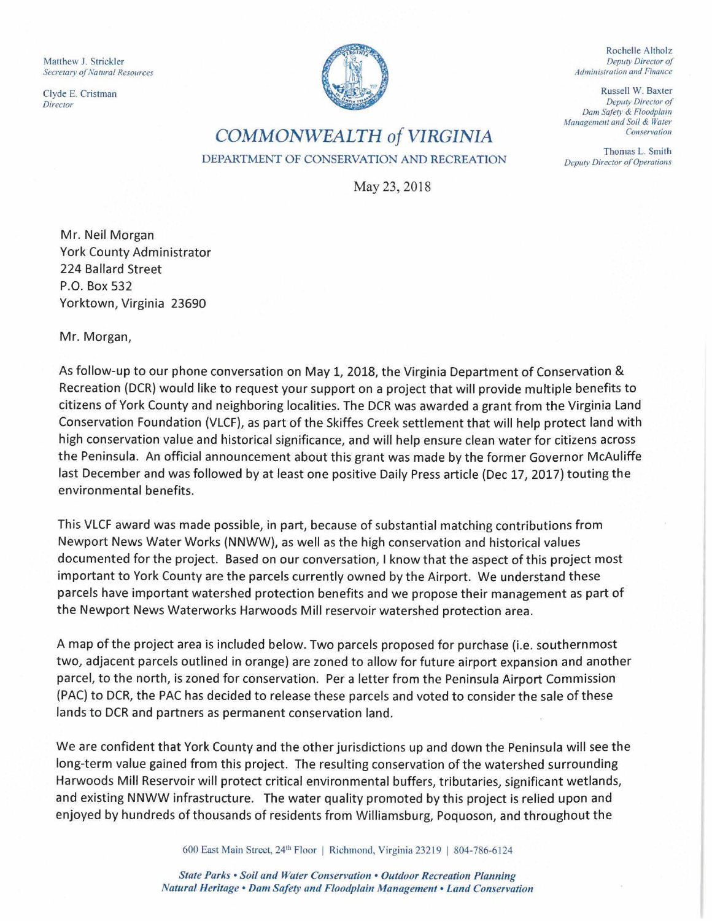Matthew J. Strickler **Secretary of Natural Resources** 

Clyde E. Cristman *Direc1or* 



Rochelle Altholz *Deputy Director of Administration and Finance* 

Russell W. Baxter *Dep11ty Director of*  Dam Safety & Floodplain *Management and Soil & Water Conservation* 

Thomas L. Smith *Deputy Director of Operations* 

**COMMONWEALTH** *of* **VIRGINIA DEPARTMENT OF CONSERVATION AND RECREATION** 

May 23, 2018

Mr. Neil Morgan York County Administrator 224 Ballard Street P.O. Box 532 Yorktown, Virginia 23690

Mr. Morgan,

As follow-up to our phone conversation on May 1, 2018, the Virginia Department of Conservation & Recreation (OCR) would like to request your support on a project that will provide multiple benefits to citizens of York County and neighboring localities. The OCR was awarded a grant from the Virginia Land Conservation Foundation (VLCF), as part of the Skiffes Creek settlement that will help protect land with high conservation value and historical significance, and will help ensure clean water for citizens across the Peninsula. An official announcement about this grant was made by the former Governor McAuliffe last December and was followed by at least one positive Daily Press article (Dec 17, 2017) touting the environmental benefits.

This VLCF award was made possible, in part, because of substantial matching contributions from Newport News Water Works (NNWW), as well as the high conservation and historical values documented for the project. Based on our conversation, I know that the aspect of this project most important to York County are the parcels currently owned by the Airport. We understand these parcels have important watershed protection benefits and we propose their management as part of the Newport News Waterworks Harwoods Mill reservoir watershed protection area.

A map of the project area is included below. Two parcels proposed for purchase (i.e. southernmost two, adjacent parcels outlined in orange) are zoned to allow for future airport expansion and another parcel, to the north, is zoned for conservation. Per a letter from the Peninsula Airport Commission (PAC) to OCR, the PAC has decided to release these parcels and voted to consider the sale of these lands to OCR and partners as permanent conservation land.

We are confident that York County and the other jurisdictions up and down the Peninsula will see the long-term value gained from this project. The resulting conservation of the watershed surrounding Harwoods Mill Reservoir will protect critical environmental buffers, tributaries, significant wetlands, and existing NNWW infrastructure. The water quality promoted by this project is relied upon and enjoyed by hundreds of thousands of residents from Williamsburg, Poquoson, and throughout the

600 East Main Street, 24th Floor I Richmond, Virginia 23219 I 804-786-6124

*State Parks* • *Soil and Water Conservation* • *Outdoor Recreation Planning Natural Heritage • Dam Safety and Floodplain Management* • *land Conservation*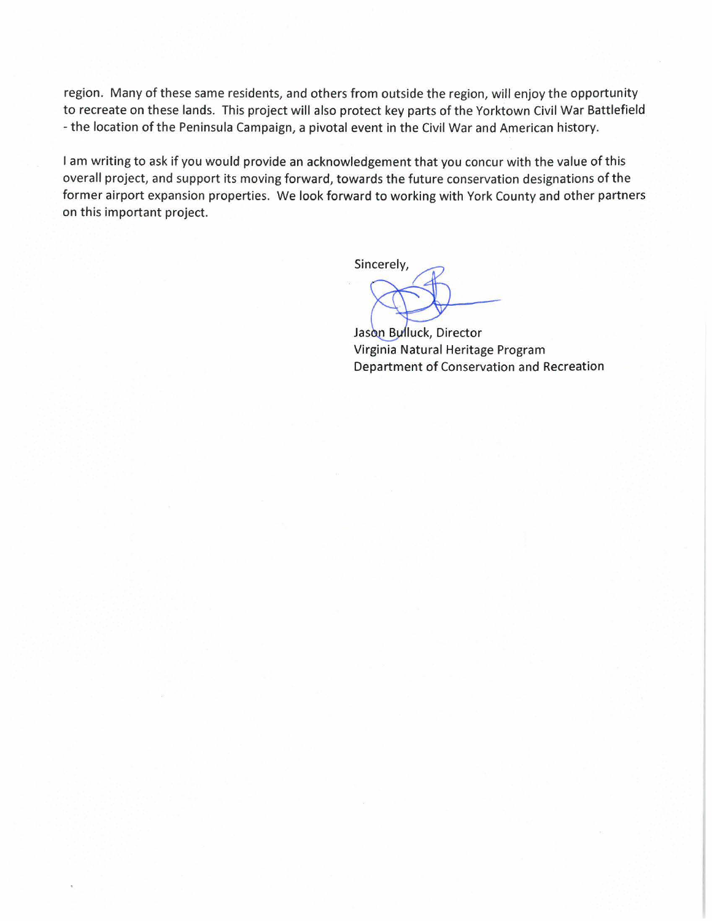region. Many of these same residents, and others from outside the region, will enjoy the opportunity to recreate on these lands. This project will also protect key parts of the Yorktown Civil War Battlefield - the location of the Peninsula Campaign, a pivotal event in the Civil War and American history.

I am writing to ask if you would provide an acknowledgement that you concur with the value of this overall project, and support its moving forward, towards the future conservation designations of the former airport expansion properties. We look forward to working with York County and other partners on this important project.

Sincerely,

Jason Bulluck, Director Virginia Natural Heritage Program Department of Conservation and Recreation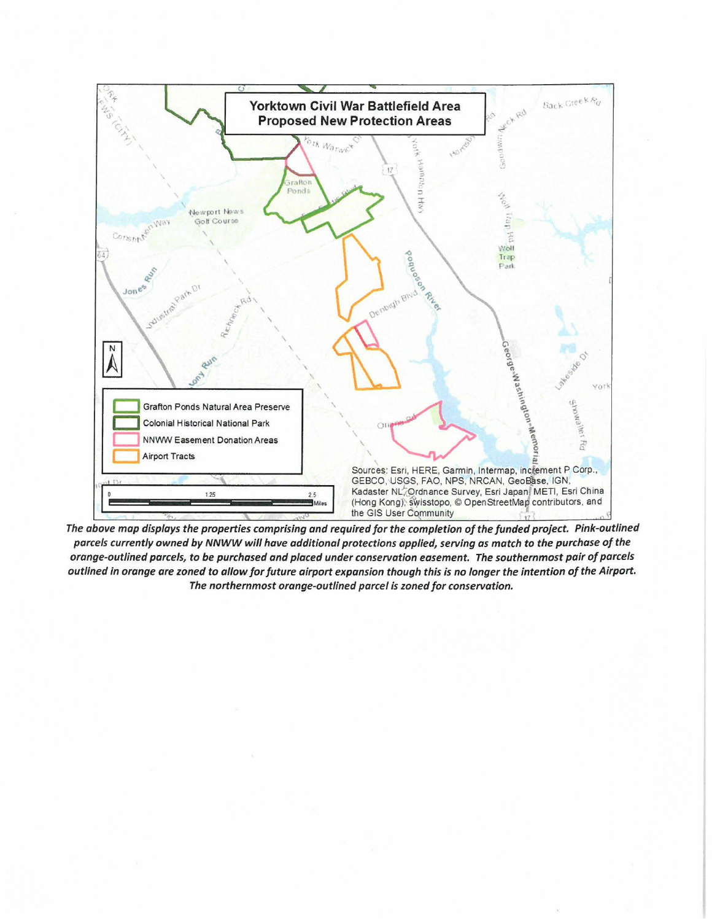

The above map displays the properties comprising and required for the completion of the funded project. Pink-outlined *parcels currently owned by NNWW will have additional protections applied, serving as match to the purchase of the orange-outlined parcels, to be purchased and placed under conservation easement. The southernmost pair of parcels outlined in orange are zoned to allow for future airport expansion though this is no longer the intention of the Airport. The northernmost orange-outlined parcel is zoned for conservation.*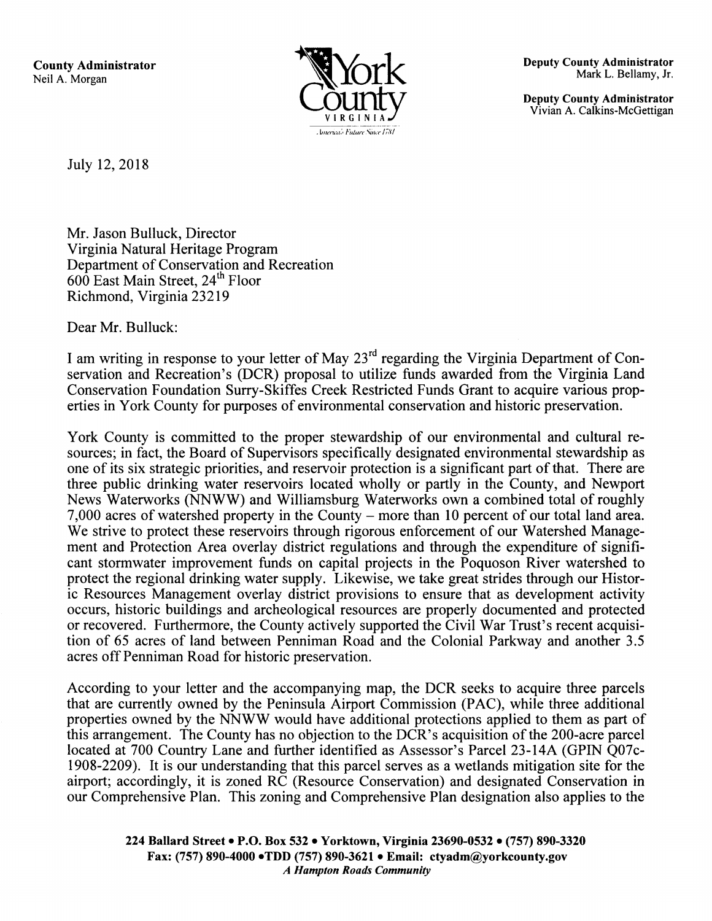**County Administrator**  Neil A. Morgan



**Deputy County Administrator**  Mark L. Bellamy, Jr.

**Deputy County Administrator**  Vivian A. Calkins-McGettigan

July 12, 2018

Mr. Jason Bulluck, Director Virginia Natural Heritage Program Department of Conservation and Recreation 600 East Main Street, 24<sup>th</sup> Floor Richmond, Virginia 23219

Dear Mr. Bulluck:

I am writing in response to your letter of May  $23<sup>rd</sup>$  regarding the Virginia Department of Conservation and Recreation's (DCR) proposal to utilize funds awarded from the Virginia Land Conservation Foundation Surry-Skiffes Creek Restricted Funds Grant to acquire various properties in York County for purposes of environmental conservation and historic preservation.

York County is committed to the proper stewardship of our environmental and cultural resources; in fact, the Board of Supervisors specifically designated environmental stewardship as one of its six strategic priorities, and reservoir protection is a significant part of that. There are three public drinking water reservoirs located wholly or partly in the County, and Newport News Waterworks (NNWW) and Williamsburg Waterworks own a combined total of roughly 7,000 acres of watershed property in the County – more than 10 percent of our total land area. We strive to protect these reservoirs through rigorous enforcement of our Watershed Management and Protection Area overlay district regulations and through the expenditure of significant stormwater improvement funds on capital projects in the Poquoson River watershed to protect the regional drinking water supply. Likewise, we take great strides through our Historic Resources Management overlay district provisions to ensure that as development activity occurs, historic buildings and archeological resources are properly documented and protected or recovered. Furthermore, the County actively supported the Civil War Trust's recent acquisition of 65 acres of land between Penniman Road and the Colonial Parkway and another 3.5 acres off Penniman Road for historic preservation.

According to your letter and the accompanying map, the DCR seeks to acquire three parcels that are currently owned by the Peninsula Airport Commission (PAC), while three additional properties owned by the NNWW would have additional protections applied to them as part of this arrangement. The County has no objection to the DCR's acquisition of the 200-acre parcel located at 700 Country Lane and further identified as Assessor's Parcel 23-14A (GPIN QO?c-1908-2209). It is our understanding that this parcel serves as a wetlands mitigation site for the airport; accordingly, it is zoned RC (Resource Conservation) and designated Conservation in our Comprehensive Plan. This zoning and Comprehensive Plan designation also applies to the

**224 Ballard Street• P.O. Box 532** • **Yorktown, Virginia 23690-0532** • **(757) 890-3320 Fax: (757) 890-4000 •TDD (757) 890-3621** • **Email: ctyadm@yorkcounty.gov**  *A Hampton Roads Community*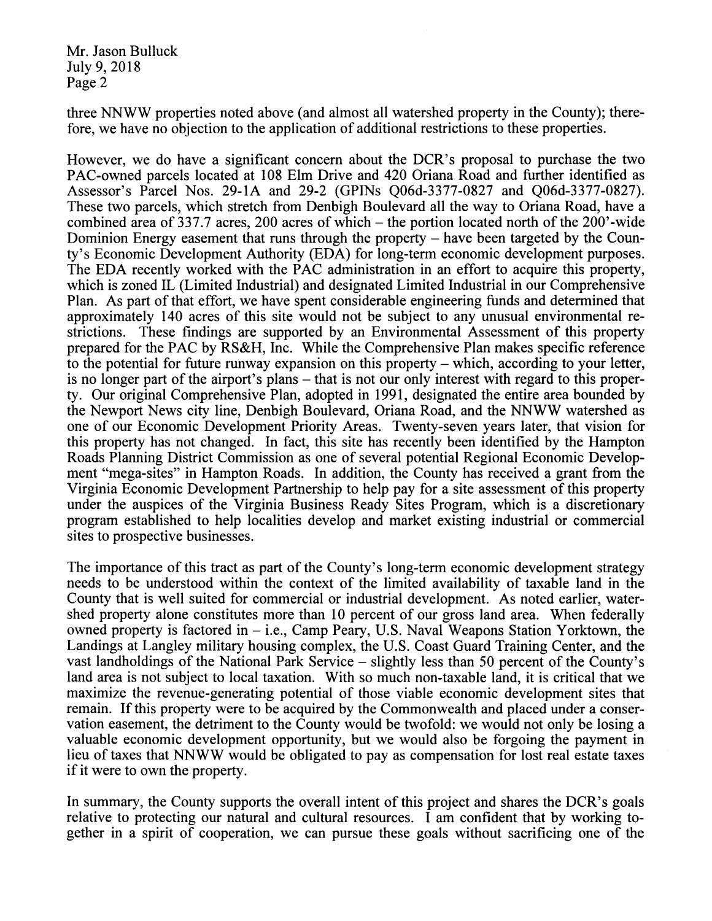Mr. Jason Bulluck July 9, 2018 Page 2

three NNWW properties noted above (and almost all watershed property in the County); therefore, we have no objection to the application of additional restrictions to these properties.

However, we do have a significant concern about the DCR's proposal to purchase the two PAC-owned parcels located at 108 Elm Drive and 420 Oriana Road and further identified as Assessor's Parcel Nos. 29-lA and 29-2 (GPINs Q06d-3377-0827 and Q06d-3377-0827). These two parcels, which stretch from Denbigh Boulevard all the way to Oriana Road, have a combined area of 337.7 acres, 200 acres of which-the portion located north of the 200'-wide Dominion Energy easement that runs through the property – have been targeted by the County's Economic Development Authority (EDA) for long-term economic development purposes. The EDA recently worked with the PAC administration in an effort to acquire this property, which is zoned IL (Limited Industrial) and designated Limited Industrial in our Comprehensive Plan. As part of that effort, we have spent considerable engineering funds and determined that approximately 140 acres of this site would not be subject to any unusual environmental restrictions. These findings are supported by an Environmental Assessment of this property prepared for the PAC by RS&H, Inc. While the Comprehensive Plan makes specific reference to the potential for future runway expansion on this property – which, according to your letter, is no longer part of the airport's plans – that is not our only interest with regard to this property. Our original Comprehensive Plan, adopted in 1991, designated the entire area bounded by the Newport News city line, Denbigh Boulevard, Oriana Road, and the NNWW watershed as one of our Economic Development Priority Areas. Twenty-seven years later, that vision for this property has not changed. In fact, this site has recently been identified by the Hampton Roads Planning District Commission as one of several potential Regional Economic Development "mega-sites" in Hampton Roads. In addition, the County has received a grant from the Virginia Economic Development Partnership to help pay for a site assessment of this property under the auspices of the Virginia Business Ready Sites Program, which is a discretionary program established to help localities develop and market existing industrial or commercial sites to prospective businesses.

The importance of this tract as part of the County's long-term economic development strategy needs to be understood within the context of the limited availability of taxable land in the County that is well suited for commercial or industrial development. As noted earlier, watershed property alone constitutes more than 10 percent of our gross land area. When federally owned property is factored in  $-$  i.e., Camp Peary, U.S. Naval Weapons Station Yorktown, the Landings at Langley military housing complex, the U.S. Coast Guard Training Center, and the vast landholdings of the National Park Service – slightly less than 50 percent of the County's land area is not subject to local taxation. With so much non-taxable land, it is critical that we maximize the revenue-generating potential of those viable economic development sites that remain. If this property were to be acquired by the Commonwealth and placed under a conservation easement, the detriment to the County would be twofold: we would not only be losing a valuable economic development opportunity, but we would also be forgoing the payment in lieu of taxes that NNWW would be obligated to pay as compensation for lost real estate taxes if it were to own the property.

In summary, the County supports the overall intent of this project and shares the DCR's goals relative to protecting our natural and cultural resources. I am confident that by working together in a spirit of cooperation, we can pursue these goals without sacrificing one of the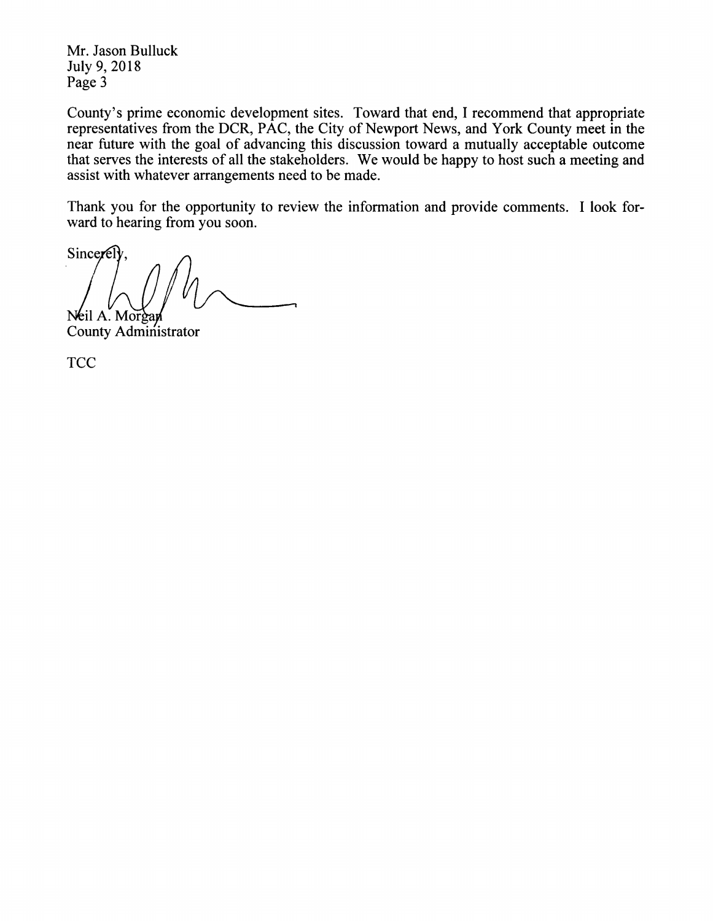Mr. Jason Bulluck July 9, 2018 Page 3

County's prime economic development sites. Toward that end, I recommend that appropriate representatives from the OCR, PAC, the City of Newport News, and York County meet in the near future with the goal of advancing this discussion toward a mutually acceptable outcome that serves the interests of all the stakeholders. We would be happy to host such a meeting and assist with whatever arrangements need to be made.

Thank you for the opportunity to review the information and provide comments. I look forward to hearing from you soon.

Sincerely Neil A. Morgan

County Administrator

**TCC**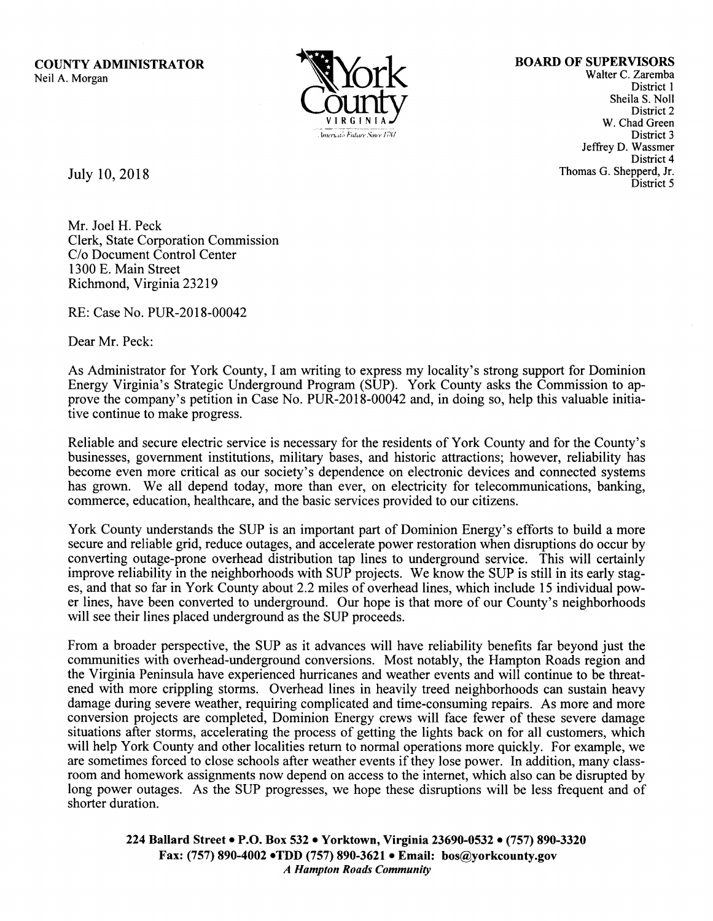**COUNTY ADMINISTRATOR**  Neil A. Morgan



**BOARD OF SUPERVISORS** 

Walter C. Zaremba District l Sheila S. Noll District 2 W. Chad Green District 3 Jeffrey D. Wassmer District 4 Thomas G. Shepperd, Jr. District 5

July 10, 2018

Mr. Joel H. Peck Clerk, State Corporation Commission *Clo* Document Control Center 1300 E. Main Street Richmond, Virginia 23219

RE: Case No. PUR-2018-00042

Dear Mr. Peck:

As Administrator for York County, I am writing to express my locality's strong support for Dominion Energy Virginia's Strategic Underground Program (SUP). York County asks the Commission to approve the company's petition in Case No. PUR-2018-00042 and, in doing so, help this valuable initiative continue to make progress.

Reliable and secure electric service is necessary for the residents of York County and for the County's businesses, government institutions, military bases, and historic attractions; however, reliability has become even more critical as our society's dependence on electronic devices and connected systems has grown. We all depend today, more than ever, on electricity for telecommunications, banking, commerce, education, healthcare, and the basic services provided to our citizens.

York County understands the SUP is an important part of Dominion Energy's efforts to build a more secure and reliable grid, reduce outages, and accelerate power restoration when disruptions do occur by converting outage-prone overhead distribution tap lines to underground service. This will certainly improve reliability in the neighborhoods with SUP projects. We know the SUP is still in its early stages, and that so far in York County about 2.2 miles of overhead lines, which include 15 individual power lines, have been converted to underground. Our hope is that more of our County's neighborhoods will see their lines placed underground as the SUP proceeds.

From a broader perspective, the SUP as it advances will have reliability benefits far beyond just the communities with overhead-underground conversions. Most notably, the Hampton Roads region and the Virginia Peninsula have experienced hurricanes and weather events and will continue to be threatened with more crippling storms. Overhead lines in heavily treed neighborhoods can sustain heavy damage during severe weather, requiring complicated and time-consuming repairs. As more and more conversion projects are completed, Dominion Energy crews will face fewer of these severe damage situations after storms, accelerating the process of getting the lights back on for all customers, which will help York County and other localities return to normal operations more quickly. For example, we are sometimes forced to close schools after weather events if they lose power. In addition, many classroom and homework assignments now depend on access to the internet, which also can be disrupted by long power outages. As the SUP progresses, we hope these disruptions will be less frequent and of shorter duration.

**224 Ballard Street• P.O. Box 532** • **Yorktown, Virginia 23690-0532** • (757) **890-3320 Fax: (757) 890-4002 •TDD (757) 890-3621** • **Email: bos@yorkcounty.gov**  *A Hampton Roads Community*